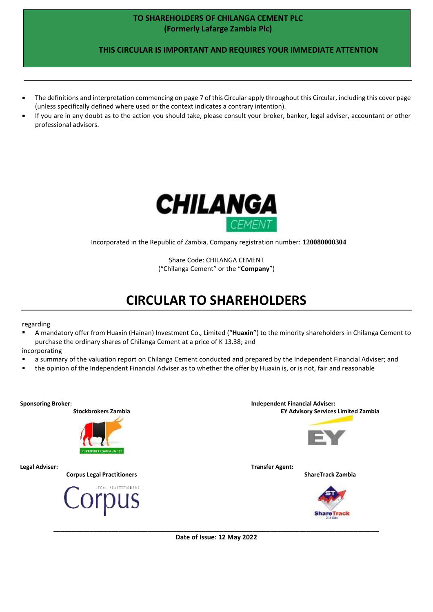### **TO SHAREHOLDERS OF CHILANGA CEMENT PLC (Formerly Lafarge Zambia Plc)**

 **THIS CIRCULAR IS IMPORTANT AND REQUIRES YOUR IMMEDIATE ATTENTION**

- The definitions and interpretation commencing on page 7 of this Circular apply throughout this Circular, including this cover page (unless specifically defined where used or the context indicates a contrary intention).
- If you are in any doubt as to the action you should take, please consult your broker, banker, legal adviser, accountant or other professional advisors.



Incorporated in the Republic of Zambia, Company registration number: **120080000304**

Share Code: CHILANGA CEMENT ("Chilanga Cement" or the "**Company**")

# **CIRCULAR TO SHAREHOLDERS**

regarding

▪ A mandatory offer from Huaxin (Hainan) Investment Co., Limited ("**Huaxin**") to the minority shareholders in Chilanga Cement to purchase the ordinary shares of Chilanga Cement at a price of K 13.38; and

incorporating

- a summary of the valuation report on Chilanga Cement conducted and prepared by the Independent Financial Adviser; and
- the opinion of the Independent Financial Adviser as to whether the offer by Huaxin is, or is not, fair and reasonable

**Sponsoring Broker: Independent Financial Adviser: Stockbrokers Zambia EY Advisory Services Limited Zambia Legal Adviser: Transfer Agent: Corpus Legal Practitioners ShareTrack Zambia** rpus

**\_\_\_\_\_\_\_\_\_\_\_\_\_\_\_\_\_\_\_\_\_\_\_\_\_\_\_\_\_\_\_\_\_\_\_\_\_\_\_\_\_\_\_\_\_\_\_\_\_\_\_\_\_\_\_\_\_\_\_\_\_\_\_\_\_\_\_\_\_\_\_\_\_\_\_\_\_\_\_\_\_\_\_\_\_\_\_\_\_\_ Date of Issue: 12 May 2022**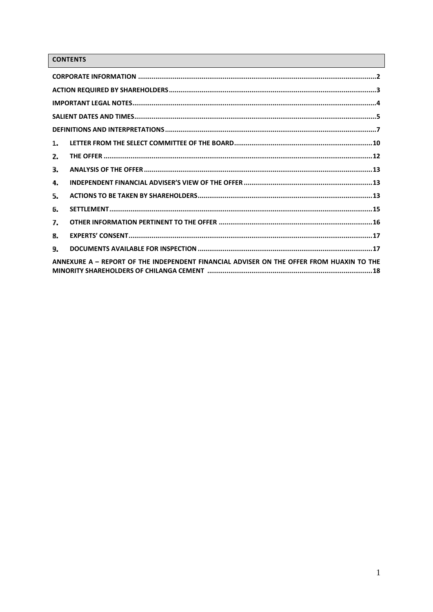# **CONTENTS**

| 1.                                                                                       |
|------------------------------------------------------------------------------------------|
| 2.                                                                                       |
| З.                                                                                       |
| 4.                                                                                       |
| 5.                                                                                       |
| 6.                                                                                       |
| 7.                                                                                       |
| 8.                                                                                       |
| 9.                                                                                       |
| ANNEXURE A - REPORT OF THE INDEPENDENT FINANCIAL ADVISER ON THE OFFER FROM HUAXIN TO THE |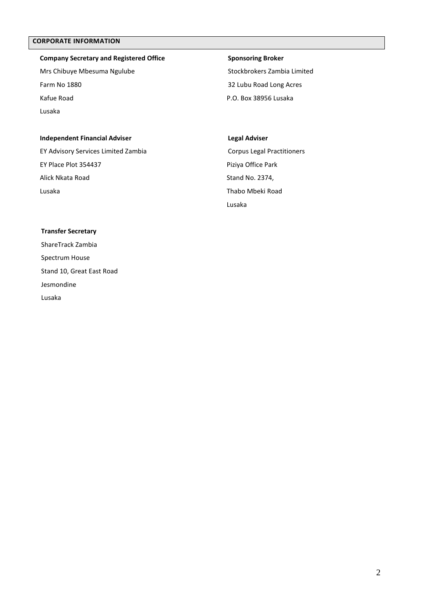### <span id="page-2-0"></span>**CORPORATE INFORMATION**

### **Company Secretary and Registered Office** Mrs Chibuye Mbesuma Ngulube

Farm No 1880 Kafue Road Lusaka

## **Sponsoring Broker** Stockbrokers Zambia Limited 32 Lubu Road Long Acres

P.O. Box 38956 Lusaka

#### **Independent Financial Adviser**

EY Advisory Services Limited Zambia EY Place Plot 354437 Alick Nkata Road Lusaka

#### **Legal Adviser**

Corpus Legal Practitioners Piziya Office Park Stand No. 2374, Thabo Mbeki Road Lusaka

#### **Transfer Secretary**

ShareTrack Zambia Spectrum House Stand 10, Great East Road Jesmondine Lusaka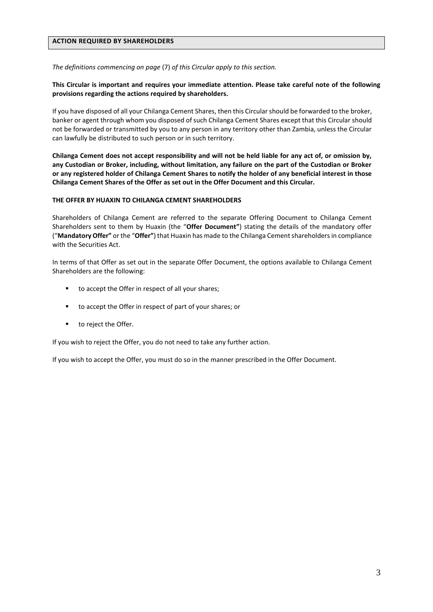#### <span id="page-3-0"></span>**ACTION REQUIRED BY SHAREHOLDERS**

*The definitions commencing on page* (7) *of this Circular apply to this section.*

#### **This Circular is important and requires your immediate attention. Please take careful note of the following provisions regarding the actions required by shareholders.**

If you have disposed of all your Chilanga Cement Shares, then this Circular should be forwarded to the broker, banker or agent through whom you disposed of such Chilanga Cement Shares except that this Circular should not be forwarded or transmitted by you to any person in any territory other than Zambia, unless the Circular can lawfully be distributed to such person or in such territory.

**Chilanga Cement does not accept responsibility and will not be held liable for any act of, or omission by, any Custodian or Broker, including, without limitation, any failure on the part of the Custodian or Broker or any registered holder of Chilanga Cement Shares to notify the holder of any beneficial interest in those Chilanga Cement Shares of the Offer as set out in the Offer Document and this Circular.**

#### **THE OFFER BY HUAXIN TO CHILANGA CEMENT SHAREHOLDERS**

Shareholders of Chilanga Cement are referred to the separate Offering Document to Chilanga Cement Shareholders sent to them by Huaxin (the "**Offer Document"**) stating the details of the mandatory offer ("**Mandatory Offer"** or the "**Offer"**) that Huaxin has made to the Chilanga Cement shareholders in compliance with the Securities Act.

In terms of that Offer as set out in the separate Offer Document, the options available to Chilanga Cement Shareholders are the following:

- to accept the Offer in respect of all your shares;
- to accept the Offer in respect of part of your shares; or
- to reject the Offer.

If you wish to reject the Offer, you do not need to take any further action.

If you wish to accept the Offer, you must do so in the manner prescribed in the Offer Document.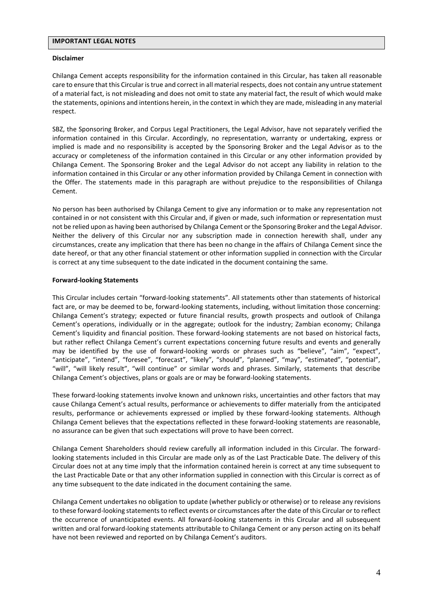#### <span id="page-4-0"></span>**IMPORTANT LEGAL NOTES**

#### **Disclaimer**

Chilanga Cement accepts responsibility for the information contained in this Circular, has taken all reasonable care to ensure that this Circular is true and correct in all material respects, does not contain any untrue statement of a material fact, is not misleading and does not omit to state any material fact, the result of which would make the statements, opinions and intentions herein, in the context in which they are made, misleading in any material respect.

SBZ, the Sponsoring Broker, and Corpus Legal Practitioners, the Legal Advisor, have not separately verified the information contained in this Circular. Accordingly, no representation, warranty or undertaking, express or implied is made and no responsibility is accepted by the Sponsoring Broker and the Legal Advisor as to the accuracy or completeness of the information contained in this Circular or any other information provided by Chilanga Cement. The Sponsoring Broker and the Legal Advisor do not accept any liability in relation to the information contained in this Circular or any other information provided by Chilanga Cement in connection with the Offer. The statements made in this paragraph are without prejudice to the responsibilities of Chilanga Cement.

No person has been authorised by Chilanga Cement to give any information or to make any representation not contained in or not consistent with this Circular and, if given or made, such information or representation must not be relied upon as having been authorised by Chilanga Cement or the Sponsoring Broker and the Legal Advisor. Neither the delivery of this Circular nor any subscription made in connection herewith shall, under any circumstances, create any implication that there has been no change in the affairs of Chilanga Cement since the date hereof, or that any other financial statement or other information supplied in connection with the Circular is correct at any time subsequent to the date indicated in the document containing the same.

#### **Forward-looking Statements**

This Circular includes certain "forward-looking statements". All statements other than statements of historical fact are, or may be deemed to be, forward-looking statements, including, without limitation those concerning: Chilanga Cement's strategy; expected or future financial results, growth prospects and outlook of Chilanga Cement's operations, individually or in the aggregate; outlook for the industry; Zambian economy; Chilanga Cement's liquidity and financial position. These forward-looking statements are not based on historical facts, but rather reflect Chilanga Cement's current expectations concerning future results and events and generally may be identified by the use of forward-looking words or phrases such as "believe", "aim", "expect", "anticipate", "intend", "foresee", "forecast", "likely", "should", "planned", "may", "estimated", "potential", "will", "will likely result", "will continue" or similar words and phrases. Similarly, statements that describe Chilanga Cement's objectives, plans or goals are or may be forward-looking statements.

These forward-looking statements involve known and unknown risks, uncertainties and other factors that may cause Chilanga Cement's actual results, performance or achievements to differ materially from the anticipated results, performance or achievements expressed or implied by these forward-looking statements. Although Chilanga Cement believes that the expectations reflected in these forward-looking statements are reasonable, no assurance can be given that such expectations will prove to have been correct.

Chilanga Cement Shareholders should review carefully all information included in this Circular. The forwardlooking statements included in this Circular are made only as of the Last Practicable Date. The delivery of this Circular does not at any time imply that the information contained herein is correct at any time subsequent to the Last Practicable Date or that any other information supplied in connection with this Circular is correct as of any time subsequent to the date indicated in the document containing the same.

Chilanga Cement undertakes no obligation to update (whether publicly or otherwise) or to release any revisions to these forward-looking statements to reflect events or circumstances after the date of this Circular or to reflect the occurrence of unanticipated events. All forward-looking statements in this Circular and all subsequent written and oral forward-looking statements attributable to Chilanga Cement or any person acting on its behalf have not been reviewed and reported on by Chilanga Cement's auditors.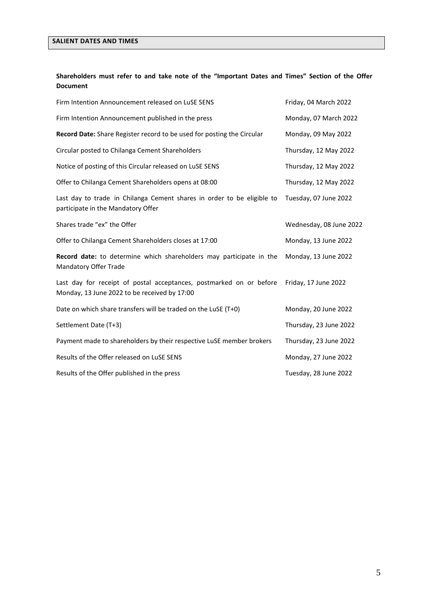### <span id="page-5-0"></span>**SALIENT DATES AND TIMES**

### **Shareholders must refer to and take note of the "Important Dates and Times" Section of the Offer Document**

| Firm Intention Announcement released on LuSE SENS                                                                   | Friday, 04 March 2022   |
|---------------------------------------------------------------------------------------------------------------------|-------------------------|
| Firm Intention Announcement published in the press                                                                  | Monday, 07 March 2022   |
| Record Date: Share Register record to be used for posting the Circular                                              | Monday, 09 May 2022     |
| Circular posted to Chilanga Cement Shareholders                                                                     | Thursday, 12 May 2022   |
| Notice of posting of this Circular released on LuSE SENS                                                            | Thursday, 12 May 2022   |
| Offer to Chilanga Cement Shareholders opens at 08:00                                                                | Thursday, 12 May 2022   |
| Last day to trade in Chilanga Cement shares in order to be eligible to<br>participate in the Mandatory Offer        | Tuesday, 07 June 2022   |
| Shares trade "ex" the Offer                                                                                         | Wednesday, 08 June 2022 |
| Offer to Chilanga Cement Shareholders closes at 17:00                                                               | Monday, 13 June 2022    |
| Record date: to determine which shareholders may participate in the<br>Mandatory Offer Trade                        | Monday, 13 June 2022    |
| Last day for receipt of postal acceptances, postmarked on or before<br>Monday, 13 June 2022 to be received by 17:00 | Friday, 17 June 2022    |
| Date on which share transfers will be traded on the LuSE (T+0)                                                      | Monday, 20 June 2022    |
| Settlement Date (T+3)                                                                                               | Thursday, 23 June 2022  |
| Payment made to shareholders by their respective LuSE member brokers                                                | Thursday, 23 June 2022  |
| Results of the Offer released on LuSE SENS                                                                          | Monday, 27 June 2022    |
| Results of the Offer published in the press                                                                         | Tuesday, 28 June 2022   |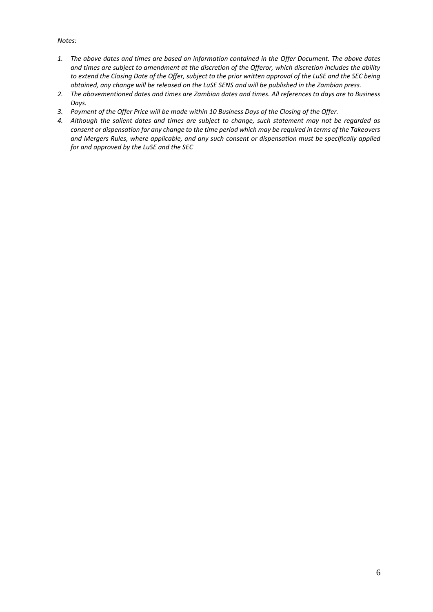#### *Notes:*

- *1. The above dates and times are based on information contained in the Offer Document. The above dates and times are subject to amendment at the discretion of the Offeror, which discretion includes the ability to extend the Closing Date of the Offer, subject to the prior written approval of the LuSE and the SEC being obtained, any change will be released on the LuSE SENS and will be published in the Zambian press.*
- *2. The abovementioned dates and times are Zambian dates and times. All references to days are to Business Days.*
- *3. Payment of the Offer Price will be made within 10 Business Days of the Closing of the Offer.*
- *4. Although the salient dates and times are subject to change, such statement may not be regarded as consent or dispensation for any change to the time period which may be required in terms of the Takeovers and Mergers Rules, where applicable, and any such consent or dispensation must be specifically applied for and approved by the LuSE and the SEC*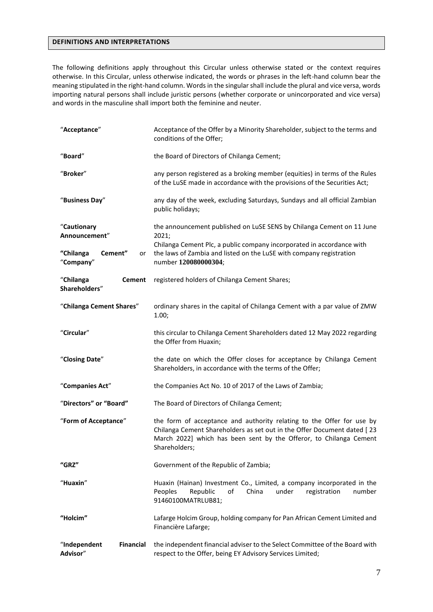#### <span id="page-7-0"></span>**DEFINITIONS AND INTERPRETATIONS**

The following definitions apply throughout this Circular unless otherwise stated or the context requires otherwise. In this Circular, unless otherwise indicated, the words or phrases in the left-hand column bear the meaning stipulated in the right-hand column. Words in the singular shall include the plural and vice versa, words importing natural persons shall include juristic persons (whether corporate or unincorporated and vice versa) and words in the masculine shall import both the feminine and neuter.

| "Acceptance"                                 | Acceptance of the Offer by a Minority Shareholder, subject to the terms and<br>conditions of the Offer;                                                                                                                                 |  |  |
|----------------------------------------------|-----------------------------------------------------------------------------------------------------------------------------------------------------------------------------------------------------------------------------------------|--|--|
| "Board"                                      | the Board of Directors of Chilanga Cement;                                                                                                                                                                                              |  |  |
| "Broker"                                     | any person registered as a broking member (equities) in terms of the Rules<br>of the LuSE made in accordance with the provisions of the Securities Act;                                                                                 |  |  |
| "Business Day"                               | any day of the week, excluding Saturdays, Sundays and all official Zambian<br>public holidays;                                                                                                                                          |  |  |
| "Cautionary<br>Announcement"                 | the announcement published on LuSE SENS by Chilanga Cement on 11 June<br>2021;                                                                                                                                                          |  |  |
| Cement"<br>"Chilanga<br>or<br>"Company"      | Chilanga Cement Plc, a public company incorporated in accordance with<br>the laws of Zambia and listed on the LuSE with company registration<br>number 120080000304;                                                                    |  |  |
| "Chilanga<br><b>Cement</b><br>Shareholders"  | registered holders of Chilanga Cement Shares;                                                                                                                                                                                           |  |  |
| "Chilanga Cement Shares"                     | ordinary shares in the capital of Chilanga Cement with a par value of ZMW<br>1.00;                                                                                                                                                      |  |  |
| "Circular"                                   | this circular to Chilanga Cement Shareholders dated 12 May 2022 regarding<br>the Offer from Huaxin;                                                                                                                                     |  |  |
| "Closing Date"                               | the date on which the Offer closes for acceptance by Chilanga Cement<br>Shareholders, in accordance with the terms of the Offer;                                                                                                        |  |  |
| "Companies Act"                              | the Companies Act No. 10 of 2017 of the Laws of Zambia;                                                                                                                                                                                 |  |  |
| "Directors" or "Board"                       | The Board of Directors of Chilanga Cement;                                                                                                                                                                                              |  |  |
| "Form of Acceptance"                         | the form of acceptance and authority relating to the Offer for use by<br>Chilanga Cement Shareholders as set out in the Offer Document dated [23<br>March 2022] which has been sent by the Offeror, to Chilanga Cement<br>Shareholders; |  |  |
| "GRZ"                                        | Government of the Republic of Zambia;                                                                                                                                                                                                   |  |  |
| "Huaxin"                                     | Huaxin (Hainan) Investment Co., Limited, a company incorporated in the<br>Peoples<br>Republic<br>of<br>China<br>under<br>registration<br>number<br>91460100MATRLUB81;                                                                   |  |  |
| "Holcim"                                     | Lafarge Holcim Group, holding company for Pan African Cement Limited and<br>Financière Lafarge;                                                                                                                                         |  |  |
| "Independent<br><b>Financial</b><br>Advisor" | the independent financial adviser to the Select Committee of the Board with<br>respect to the Offer, being EY Advisory Services Limited;                                                                                                |  |  |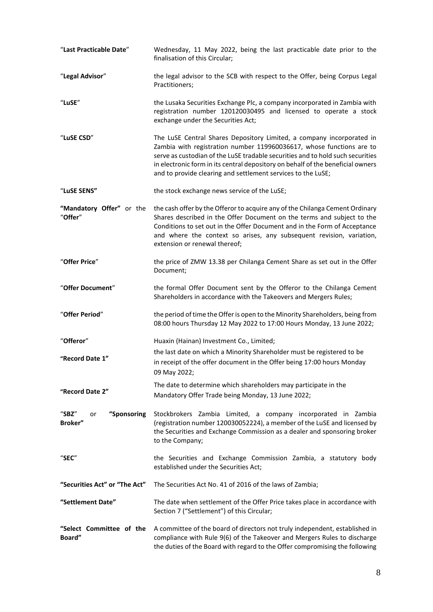| "Last Practicable Date"                     | Wednesday, 11 May 2022, being the last practicable date prior to the<br>finalisation of this Circular;                                                                                                                                                                                                                                                                             |
|---------------------------------------------|------------------------------------------------------------------------------------------------------------------------------------------------------------------------------------------------------------------------------------------------------------------------------------------------------------------------------------------------------------------------------------|
| "Legal Advisor"                             | the legal advisor to the SCB with respect to the Offer, being Corpus Legal<br>Practitioners;                                                                                                                                                                                                                                                                                       |
| "LuSE"                                      | the Lusaka Securities Exchange Plc, a company incorporated in Zambia with<br>registration number 120120030495 and licensed to operate a stock<br>exchange under the Securities Act;                                                                                                                                                                                                |
| "LuSE CSD"                                  | The LuSE Central Shares Depository Limited, a company incorporated in<br>Zambia with registration number 119960036617, whose functions are to<br>serve as custodian of the LuSE tradable securities and to hold such securities<br>in electronic form in its central depository on behalf of the beneficial owners<br>and to provide clearing and settlement services to the LuSE; |
| "LuSE SENS"                                 | the stock exchange news service of the LuSE;                                                                                                                                                                                                                                                                                                                                       |
| "Mandatory Offer" or the<br>"Offer"         | the cash offer by the Offeror to acquire any of the Chilanga Cement Ordinary<br>Shares described in the Offer Document on the terms and subject to the<br>Conditions to set out in the Offer Document and in the Form of Acceptance<br>and where the context so arises, any subsequent revision, variation,<br>extension or renewal thereof;                                       |
| "Offer Price"                               | the price of ZMW 13.38 per Chilanga Cement Share as set out in the Offer<br>Document;                                                                                                                                                                                                                                                                                              |
| "Offer Document"                            | the formal Offer Document sent by the Offeror to the Chilanga Cement<br>Shareholders in accordance with the Takeovers and Mergers Rules;                                                                                                                                                                                                                                           |
| "Offer Period"                              | the period of time the Offer is open to the Minority Shareholders, being from<br>08:00 hours Thursday 12 May 2022 to 17:00 Hours Monday, 13 June 2022;                                                                                                                                                                                                                             |
| "Offeror"                                   | Huaxin (Hainan) Investment Co., Limited;                                                                                                                                                                                                                                                                                                                                           |
| "Record Date 1"                             | the last date on which a Minority Shareholder must be registered to be<br>in receipt of the offer document in the Offer being 17:00 hours Monday<br>09 May 2022;                                                                                                                                                                                                                   |
| "Record Date 2"                             | The date to determine which shareholders may participate in the<br>Mandatory Offer Trade being Monday, 13 June 2022;                                                                                                                                                                                                                                                               |
| "Sponsoring<br>$"$ SBZ $"$<br>or<br>Broker" | Stockbrokers Zambia Limited, a company incorporated in Zambia<br>(registration number 120030052224), a member of the LuSE and licensed by<br>the Securities and Exchange Commission as a dealer and sponsoring broker<br>to the Company;                                                                                                                                           |
| $"$ SEC $"$                                 | the Securities and Exchange Commission Zambia, a statutory body<br>established under the Securities Act;                                                                                                                                                                                                                                                                           |
| "Securities Act" or "The Act"               | The Securities Act No. 41 of 2016 of the laws of Zambia;                                                                                                                                                                                                                                                                                                                           |
| "Settlement Date"                           | The date when settlement of the Offer Price takes place in accordance with<br>Section 7 ("Settlement") of this Circular;                                                                                                                                                                                                                                                           |
| "Select Committee of the<br>Board"          | A committee of the board of directors not truly independent, established in<br>compliance with Rule 9(6) of the Takeover and Mergers Rules to discharge<br>the duties of the Board with regard to the Offer compromising the following                                                                                                                                             |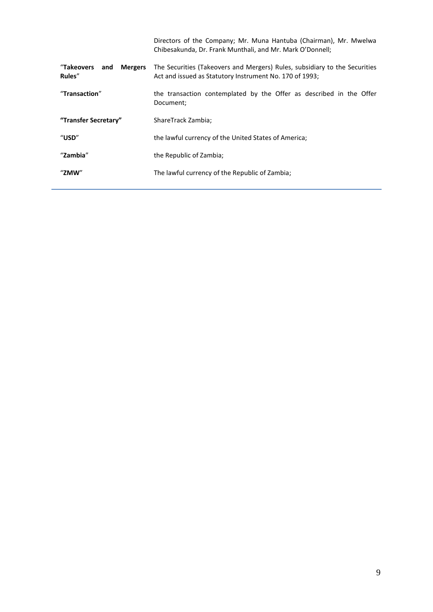|                                               | Directors of the Company; Mr. Muna Hantuba (Chairman), Mr. Mwelwa<br>Chibesakunda, Dr. Frank Munthali, and Mr. Mark O'Donnell;        |
|-----------------------------------------------|---------------------------------------------------------------------------------------------------------------------------------------|
| "Takeovers<br><b>Mergers</b><br>and<br>Rules" | The Securities (Takeovers and Mergers) Rules, subsidiary to the Securities<br>Act and issued as Statutory Instrument No. 170 of 1993; |
| "Transaction"                                 | the transaction contemplated by the Offer as described in the Offer<br>Document;                                                      |
| "Transfer Secretary"                          | ShareTrack Zambia;                                                                                                                    |
| $^{\prime\prime}$ USD $^{\prime\prime}$       | the lawful currency of the United States of America;                                                                                  |
| "Zambia"                                      | the Republic of Zambia;                                                                                                               |
| "ZMW"                                         | The lawful currency of the Republic of Zambia;                                                                                        |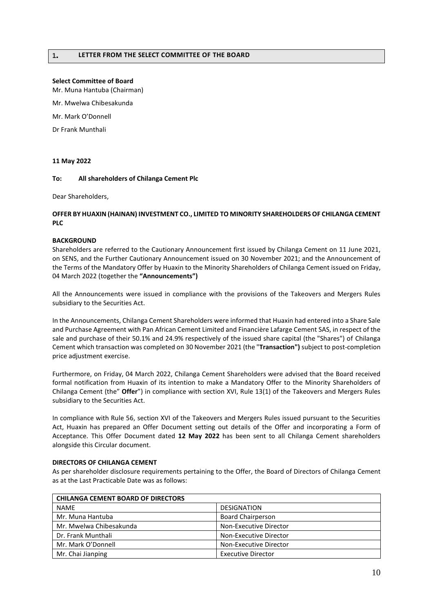#### <span id="page-10-0"></span>**Select Committee of Board**

Mr. Muna Hantuba (Chairman)

Mr. Mwelwa Chibesakunda

Mr. Mark O'Donnell

Dr Frank Munthali

#### **11 May 2022**

#### **To: All shareholders of Chilanga Cement Plc**

Dear Shareholders,

#### **OFFER BY HUAXIN (HAINAN) INVESTMENT CO., LIMITED TO MINORITY SHAREHOLDERS OF CHILANGA CEMENT PLC**

#### **BACKGROUND**

Shareholders are referred to the Cautionary Announcement first issued by Chilanga Cement on 11 June 2021, on SENS, and the Further Cautionary Announcement issued on 30 November 2021; and the Announcement of the Terms of the Mandatory Offer by Huaxin to the Minority Shareholders of Chilanga Cement issued on Friday, 04 March 2022 (together the **"Announcements")**

All the Announcements were issued in compliance with the provisions of the Takeovers and Mergers Rules subsidiary to the Securities Act.

In the Announcements, Chilanga Cement Shareholders were informed that Huaxin had entered into a Share Sale and Purchase Agreement with Pan African Cement Limited and Financière Lafarge Cement SAS, in respect of the sale and purchase of their 50.1% and 24.9% respectively of the issued share capital (the "Shares") of Chilanga Cement which transaction was completed on 30 November 2021 (the "**Transaction")** subject to post-completion price adjustment exercise.

Furthermore, on Friday, 04 March 2022, Chilanga Cement Shareholders were advised that the Board received formal notification from Huaxin of its intention to make a Mandatory Offer to the Minority Shareholders of Chilanga Cement (the" **Offer**") in compliance with section XVI, Rule 13(1) of the Takeovers and Mergers Rules subsidiary to the Securities Act.

In compliance with Rule 56, section XVI of the Takeovers and Mergers Rules issued pursuant to the Securities Act, Huaxin has prepared an Offer Document setting out details of the Offer and incorporating a Form of Acceptance. This Offer Document dated **12 May 2022** has been sent to all Chilanga Cement shareholders alongside this Circular document.

#### **DIRECTORS OF CHILANGA CEMENT**

As per shareholder disclosure requirements pertaining to the Offer, the Board of Directors of Chilanga Cement as at the Last Practicable Date was as follows:

| <b>CHILANGA CEMENT BOARD OF DIRECTORS</b> |                           |
|-------------------------------------------|---------------------------|
| <b>NAME</b>                               | <b>DESIGNATION</b>        |
| Mr. Muna Hantuba                          | <b>Board Chairperson</b>  |
| Mr. Mwelwa Chibesakunda                   | Non-Executive Director    |
| Dr. Frank Munthali                        | Non-Executive Director    |
| Mr. Mark O'Donnell                        | Non-Executive Director    |
| Mr. Chai Jianping                         | <b>Executive Director</b> |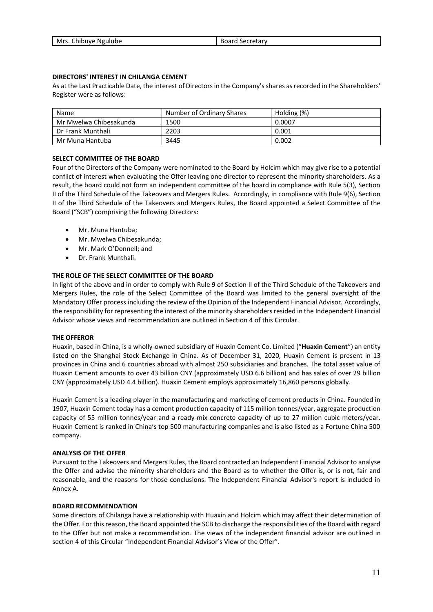| Mrs. Chibuye Ngulube | Board Secretary |
|----------------------|-----------------|

#### **DIRECTORS' INTEREST IN CHILANGA CEMENT**

As at the Last Practicable Date, the interest of Directors in the Company's shares as recorded in the Shareholders' Register were as follows:

| Name                   | Number of Ordinary Shares | Holding (%) |
|------------------------|---------------------------|-------------|
| Mr Mwelwa Chibesakunda | 1500                      | 0.0007      |
| Dr Frank Munthali      | 2203                      | 0.001       |
| Mr Muna Hantuba        | 3445                      | 0.002       |

#### **SELECT COMMITTEE OF THE BOARD**

Four of the Directors of the Company were nominated to the Board by Holcim which may give rise to a potential conflict of interest when evaluating the Offer leaving one director to represent the minority shareholders. As a result, the board could not form an independent committee of the board in compliance with Rule 5(3), Section II of the Third Schedule of the Takeovers and Mergers Rules. Accordingly, in compliance with Rule 9(6), Section II of the Third Schedule of the Takeovers and Mergers Rules, the Board appointed a Select Committee of the Board ("SCB") comprising the following Directors:

- Mr. Muna Hantuba;
- Mr. Mwelwa Chibesakunda;
- Mr. Mark O'Donnell; and
- Dr. Frank Munthali.

#### **THE ROLE OF THE SELECT COMMITTEE OF THE BOARD**

In light of the above and in order to comply with Rule 9 of Section II of the Third Schedule of the Takeovers and Mergers Rules, the role of the Select Committee of the Board was limited to the general oversight of the Mandatory Offer process including the review of the Opinion of the Independent Financial Advisor. Accordingly, the responsibility for representing the interest of the minority shareholders resided in the Independent Financial Advisor whose views and recommendation are outlined in Section 4 of this Circular.

#### **THE OFFEROR**

Huaxin, based in China, is a wholly-owned subsidiary of Huaxin Cement Co. Limited ("**Huaxin Cement**") an entity listed on the Shanghai Stock Exchange in China. As of December 31, 2020, Huaxin Cement is present in 13 provinces in China and 6 countries abroad with almost 250 subsidiaries and branches. The total asset value of Huaxin Cement amounts to over 43 billion CNY (approximately USD 6.6 billion) and has sales of over 29 billion CNY (approximately USD 4.4 billion). Huaxin Cement employs approximately 16,860 persons globally.

Huaxin Cement is a leading player in the manufacturing and marketing of cement products in China. Founded in 1907, Huaxin Cement today has a cement production capacity of 115 million tonnes/year, aggregate production capacity of 55 million tonnes/year and a ready-mix concrete capacity of up to 27 million cubic meters/year. Huaxin Cement is ranked in China's top 500 manufacturing companies and is also listed as a Fortune China 500 company.

#### **ANALYSIS OF THE OFFER**

Pursuant to the Takeovers and Mergers Rules, the Board contracted an Independent Financial Advisor to analyse the Offer and advise the minority shareholders and the Board as to whether the Offer is, or is not, fair and reasonable, and the reasons for those conclusions. The Independent Financial Advisor's report is included in Annex A.

#### **BOARD RECOMMENDATION**

Some directors of Chilanga have a relationship with Huaxin and Holcim which may affect their determination of the Offer. For this reason, the Board appointed the SCB to discharge the responsibilities of the Board with regard to the Offer but not make a recommendation. The views of the independent financial advisor are outlined in section 4 of this Circular "Independent Financial Advisor's View of the Offer".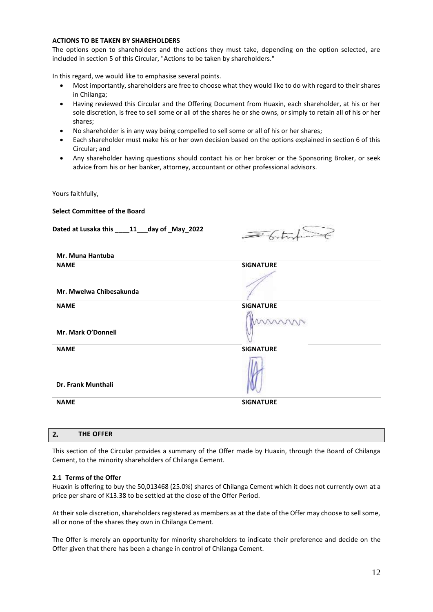#### **ACTIONS TO BE TAKEN BY SHAREHOLDERS**

The options open to shareholders and the actions they must take, depending on the option selected, are included in section 5 of this Circular, "Actions to be taken by shareholders."

In this regard, we would like to emphasise several points.

- Most importantly, shareholders are free to choose what they would like to do with regard to their shares in Chilanga;
- Having reviewed this Circular and the Offering Document from Huaxin, each shareholder, at his or her sole discretion, is free to sell some or all of the shares he or she owns, or simply to retain all of his or her shares;
- No shareholder is in any way being compelled to sell some or all of his or her shares;
- Each shareholder must make his or her own decision based on the options explained in section 6 of this Circular; and
- Any shareholder having questions should contact his or her broker or the Sponsoring Broker, or seek advice from his or her banker, attorney, accountant or other professional advisors.

Yours faithfully,

| Dated at Lusaka this ____11__day of _May_2022 |                  |
|-----------------------------------------------|------------------|
| Mr. Muna Hantuba                              |                  |
| <b>NAME</b>                                   | <b>SIGNATURE</b> |
| Mr. Mwelwa Chibesakunda                       |                  |
|                                               |                  |
| <b>NAME</b>                                   | <b>SIGNATURE</b> |
| Mr. Mark O'Donnell                            |                  |
| <b>NAME</b>                                   | <b>SIGNATURE</b> |
| Dr. Frank Munthali                            |                  |
| <b>NAME</b>                                   | <b>SIGNATURE</b> |

| This section of the Circular provides a summary of the Offer made by Huaxin, through the Board of Chilanga |  |  |  |
|------------------------------------------------------------------------------------------------------------|--|--|--|
| Cement, to the minority shareholders of Chilanga Cement.                                                   |  |  |  |

#### **2.1 Terms of the Offer**

**THE OFFER**

<span id="page-12-0"></span> $2.$ 

Huaxin is offering to buy the 50,013468 (25.0%) shares of Chilanga Cement which it does not currently own at a price per share of K13.38 to be settled at the close of the Offer Period.

At their sole discretion, shareholders registered as members as at the date of the Offer may choose to sell some, all or none of the shares they own in Chilanga Cement.

The Offer is merely an opportunity for minority shareholders to indicate their preference and decide on the Offer given that there has been a change in control of Chilanga Cement.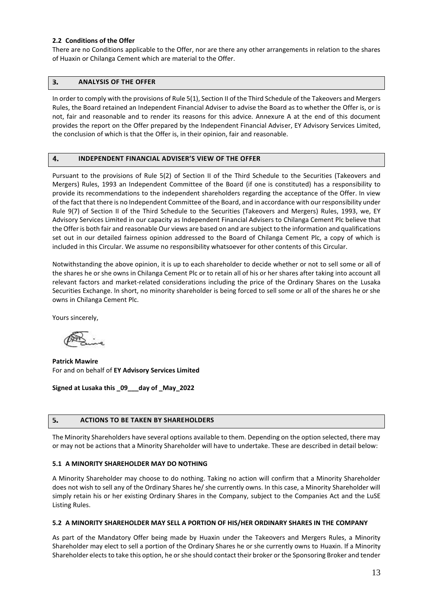#### **2.2 Conditions of the Offer**

There are no Conditions applicable to the Offer, nor are there any other arrangements in relation to the shares of Huaxin or Chilanga Cement which are material to the Offer.

#### <span id="page-13-0"></span>З. **ANALYSIS OF THE OFFER**

In order to comply with the provisions of Rule 5(1), Section II of the Third Schedule of the Takeovers and Mergers Rules, the Board retained an Independent Financial Adviser to advise the Board as to whether the Offer is, or is not, fair and reasonable and to render its reasons for this advice. Annexure A at the end of this document provides the report on the Offer prepared by the Independent Financial Adviser, EY Advisory Services Limited, the conclusion of which is that the Offer is, in their opinion, fair and reasonable.

#### <span id="page-13-1"></span>4. **INDEPENDENT FINANCIAL ADVISER'S VIEW OF THE OFFER**

Pursuant to the provisions of Rule 5(2) of Section II of the Third Schedule to the Securities (Takeovers and Mergers) Rules, 1993 an Independent Committee of the Board (if one is constituted) has a responsibility to provide its recommendations to the independent shareholders regarding the acceptance of the Offer. In view of the fact that there is no Independent Committee of the Board, and in accordance with our responsibility under Rule 9(7) of Section II of the Third Schedule to the Securities (Takeovers and Mergers) Rules, 1993, we, EY Advisory Services Limited in our capacity as Independent Financial Advisers to Chilanga Cement Plc believe that the Offer is both fair and reasonable Our views are based on and are subject to the information and qualifications set out in our detailed fairness opinion addressed to the Board of Chilanga Cement Plc, a copy of which is included in this Circular. We assume no responsibility whatsoever for other contents of this Circular.

Notwithstanding the above opinion, it is up to each shareholder to decide whether or not to sell some or all of the shares he or she owns in Chilanga Cement Plc or to retain all of his or her shares after taking into account all relevant factors and market-related considerations including the price of the Ordinary Shares on the Lusaka Securities Exchange. ln short, no minority shareholder is being forced to sell some or all of the shares he or she owns in Chilanga Cement Plc.

Yours sincerely,

**Patrick Mawire** For and on behalf of **EY Advisory Services Limited**

**Signed at Lusaka this \_09\_\_\_day of \_May\_2022**

#### <span id="page-13-2"></span>**ACTIONS TO BE TAKEN BY SHAREHOLDERS** 5.

The Minority Shareholders have several options available to them. Depending on the option selected, there may or may not be actions that a Minority Shareholder will have to undertake. These are described in detail below:

#### **5.1 A MINORITY SHAREHOLDER MAY DO NOTHING**

A Minority Shareholder may choose to do nothing. Taking no action will confirm that a Minority Shareholder does not wish to sell any of the Ordinary Shares he/ she currently owns. In this case, a Minority Shareholder will simply retain his or her existing Ordinary Shares in the Company, subject to the Companies Act and the LuSE Listing Rules.

#### **5.2 A MINORITY SHAREHOLDER MAY SELL A PORTION OF HIS/HER ORDINARY SHARES IN THE COMPANY**

As part of the Mandatory Offer being made by Huaxin under the Takeovers and Mergers Rules, a Minority Shareholder may elect to sell a portion of the Ordinary Shares he or she currently owns to Huaxin. If a Minority Shareholder elects to take this option, he or she should contact their broker or the Sponsoring Broker and tender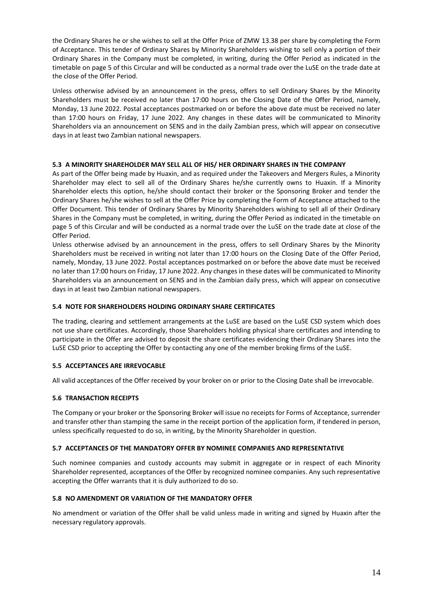the Ordinary Shares he or she wishes to sell at the Offer Price of ZMW 13.38 per share by completing the Form of Acceptance. This tender of Ordinary Shares by Minority Shareholders wishing to sell only a portion of their Ordinary Shares in the Company must be completed, in writing, during the Offer Period as indicated in the timetable on page 5 of this Circular and will be conducted as a normal trade over the LuSE on the trade date at the close of the Offer Period.

Unless otherwise advised by an announcement in the press, offers to sell Ordinary Shares by the Minority Shareholders must be received no later than 17:00 hours on the Closing Date of the Offer Period, namely, Monday, 13 June 2022. Postal acceptances postmarked on or before the above date must be received no later than 17:00 hours on Friday, 17 June 2022. Any changes in these dates will be communicated to Minority Shareholders via an announcement on SENS and in the daily Zambian press, which will appear on consecutive days in at least two Zambian national newspapers.

#### **5.3 A MINORITY SHAREHOLDER MAY SELL ALL OF HIS/ HER ORDINARY SHARES IN THE COMPANY**

As part of the Offer being made by Huaxin, and as required under the Takeovers and Mergers Rules, a Minority Shareholder may elect to sell all of the Ordinary Shares he/she currently owns to Huaxin. If a Minority Shareholder elects this option, he/she should contact their broker or the Sponsoring Broker and tender the Ordinary Shares he/she wishes to sell at the Offer Price by completing the Form of Acceptance attached to the Offer Document. This tender of Ordinary Shares by Minority Shareholders wishing to sell all of their Ordinary Shares in the Company must be completed, in writing, during the Offer Period as indicated in the timetable on page 5 of this Circular and will be conducted as a normal trade over the LuSE on the trade date at close of the Offer Period.

Unless otherwise advised by an announcement in the press, offers to sell Ordinary Shares by the Minority Shareholders must be received in writing not later than 17:00 hours on the Closing Date of the Offer Period, namely, Monday, 13 June 2022. Postal acceptances postmarked on or before the above date must be received no later than 17:00 hours on Friday, 17 June 2022. Any changes in these dates will be communicated to Minority Shareholders via an announcement on SENS and in the Zambian daily press, which will appear on consecutive days in at least two Zambian national newspapers.

#### **5.4 NOTE FOR SHAREHOLDERS HOLDING ORDINARY SHARE CERTIFICATES**

The trading, clearing and settlement arrangements at the LuSE are based on the LuSE CSD system which does not use share certificates. Accordingly, those Shareholders holding physical share certificates and intending to participate in the Offer are advised to deposit the share certificates evidencing their Ordinary Shares into the LuSE CSD prior to accepting the Offer by contacting any one of the member broking firms of the LuSE.

#### **5.5 ACCEPTANCES ARE IRREVOCABLE**

All valid acceptances of the Offer received by your broker on or prior to the Closing Date shall be irrevocable.

#### **5.6 TRANSACTION RECEIPTS**

The Company or your broker or the Sponsoring Broker will issue no receipts for Forms of Acceptance, surrender and transfer other than stamping the same in the receipt portion of the application form, if tendered in person, unless specifically requested to do so, in writing, by the Minority Shareholder in question.

#### **5.7 ACCEPTANCES OF THE MANDATORY OFFER BY NOMINEE COMPANIES AND REPRESENTATIVE**

Such nominee companies and custody accounts may submit in aggregate or in respect of each Minority Shareholder represented, acceptances of the Offer by recognized nominee companies. Any such representative accepting the Offer warrants that it is duly authorized to do so.

#### **5.8 NO AMENDMENT OR VARIATION OF THE MANDATORY OFFER**

No amendment or variation of the Offer shall be valid unless made in writing and signed by Huaxin after the necessary regulatory approvals.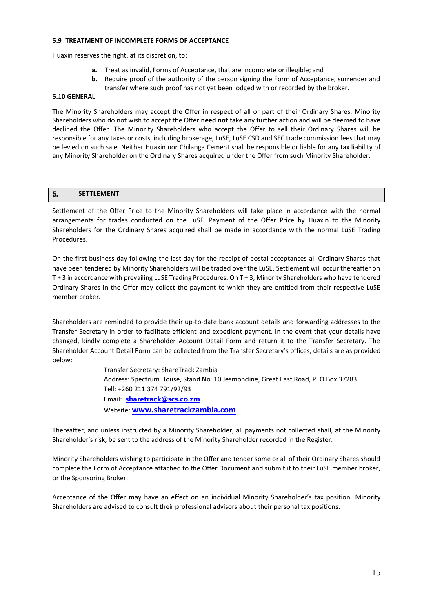#### **5.9 TREATMENT OF INCOMPLETE FORMS OF ACCEPTANCE**

Huaxin reserves the right, at its discretion, to:

- **a.** Treat as invalid, Forms of Acceptance, that are incomplete or illegible; and
- **b.** Require proof of the authority of the person signing the Form of Acceptance, surrender and transfer where such proof has not yet been lodged with or recorded by the broker.

#### **5.10 GENERAL**

The Minority Shareholders may accept the Offer in respect of all or part of their Ordinary Shares. Minority Shareholders who do not wish to accept the Offer **need not** take any further action and will be deemed to have declined the Offer. The Minority Shareholders who accept the Offer to sell their Ordinary Shares will be responsible for any taxes or costs, including brokerage, LuSE, LuSE CSD and SEC trade commission fees that may be levied on such sale. Neither Huaxin nor Chilanga Cement shall be responsible or liable for any tax liability of any Minority Shareholder on the Ordinary Shares acquired under the Offer from such Minority Shareholder.

#### <span id="page-15-0"></span>6. **SETTLEMENT**

Settlement of the Offer Price to the Minority Shareholders will take place in accordance with the normal arrangements for trades conducted on the LuSE. Payment of the Offer Price by Huaxin to the Minority Shareholders for the Ordinary Shares acquired shall be made in accordance with the normal LuSE Trading Procedures.

On the first business day following the last day for the receipt of postal acceptances all Ordinary Shares that have been tendered by Minority Shareholders will be traded over the LuSE. Settlement will occur thereafter on T + 3 in accordance with prevailing LuSE Trading Procedures. On T + 3, Minority Shareholders who have tendered Ordinary Shares in the Offer may collect the payment to which they are entitled from their respective LuSE member broker.

Shareholders are reminded to provide their up-to-date bank account details and forwarding addresses to the Transfer Secretary in order to facilitate efficient and expedient payment. In the event that your details have changed, kindly complete a Shareholder Account Detail Form and return it to the Transfer Secretary. The Shareholder Account Detail Form can be collected from the Transfer Secretary's offices, details are as provided below:

> Transfer Secretary: ShareTrack Zambia Address: Spectrum House, Stand No. 10 Jesmondine, Great East Road, P. O Box 37283 Tell: +260 211 374 791/92/93 Email: **[sharetrack@scs.co.zm](mailto:sharetrack@scs.co.zm)** Website: **[www.sharetrackzambia.com](http://www.sharetrackzambia.com/)**

Thereafter, and unless instructed by a Minority Shareholder, all payments not collected shall, at the Minority Shareholder's risk, be sent to the address of the Minority Shareholder recorded in the Register.

Minority Shareholders wishing to participate in the Offer and tender some or all of their Ordinary Shares should complete the Form of Acceptance attached to the Offer Document and submit it to their LuSE member broker, or the Sponsoring Broker.

Acceptance of the Offer may have an effect on an individual Minority Shareholder's tax position. Minority Shareholders are advised to consult their professional advisors about their personal tax positions.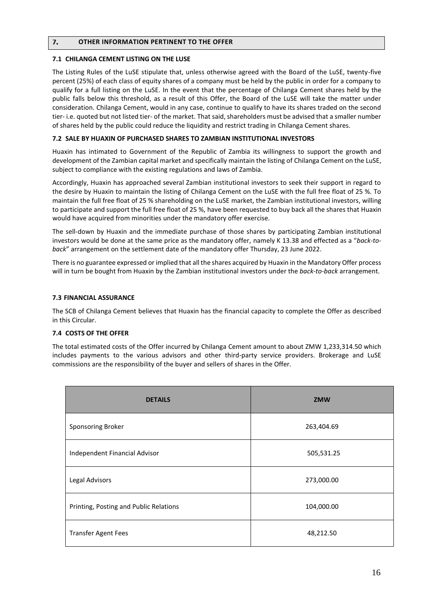#### <span id="page-16-0"></span> $\overline{7}$ . **OTHER INFORMATION PERTINENT TO THE OFFER**

#### **7.1 CHILANGA CEMENT LISTING ON THE LUSE**

The Listing Rules of the LuSE stipulate that, unless otherwise agreed with the Board of the LuSE, twenty-five percent (25%) of each class of equity shares of a company must be held by the public in order for a company to qualify for a full listing on the LuSE. In the event that the percentage of Chilanga Cement shares held by the public falls below this threshold, as a result of this Offer, the Board of the LuSE will take the matter under consideration. Chilanga Cement, would in any case, continue to qualify to have its shares traded on the second tier- i.e. quoted but not listed tier- of the market. That said, shareholders must be advised that a smaller number of shares held by the public could reduce the liquidity and restrict trading in Chilanga Cement shares.

#### **7.2 SALE BY HUAXIN OF PURCHASED SHARES TO ZAMBIAN INSTITUTIONAL INVESTORS**

Huaxin has intimated to Government of the Republic of Zambia its willingness to support the growth and development of the Zambian capital market and specifically maintain the listing of Chilanga Cement on the LuSE, subject to compliance with the existing regulations and laws of Zambia.

Accordingly, Huaxin has approached several Zambian institutional investors to seek their support in regard to the desire by Huaxin to maintain the listing of Chilanga Cement on the LuSE with the full free float of 25 %. To maintain the full free float of 25 % shareholding on the LuSE market, the Zambian institutional investors, willing to participate and support the full free float of 25 %, have been requested to buy back all the shares that Huaxin would have acquired from minorities under the mandatory offer exercise.

The sell-down by Huaxin and the immediate purchase of those shares by participating Zambian institutional investors would be done at the same price as the mandatory offer, namely K 13.38 and effected as a "*back-toback*" arrangement on the settlement date of the mandatory offer Thursday, 23 June 2022.

There is no guarantee expressed or implied that all the shares acquired by Huaxin in the Mandatory Offer process will in turn be bought from Huaxin by the Zambian institutional investors under the *back-to-back* arrangement.

#### **7.3 FINANCIAL ASSURANCE**

The SCB of Chilanga Cement believes that Huaxin has the financial capacity to complete the Offer as described in this Circular.

#### **7.4 COSTS OF THE OFFER**

The total estimated costs of the Offer incurred by Chilanga Cement amount to about ZMW 1,233,314.50 which includes payments to the various advisors and other third-party service providers. Brokerage and LuSE commissions are the responsibility of the buyer and sellers of shares in the Offer.

| <b>DETAILS</b>                         | <b>ZMW</b> |
|----------------------------------------|------------|
| Sponsoring Broker                      | 263,404.69 |
| Independent Financial Advisor          | 505,531.25 |
| Legal Advisors                         | 273,000.00 |
| Printing, Posting and Public Relations | 104,000.00 |
| <b>Transfer Agent Fees</b>             | 48,212.50  |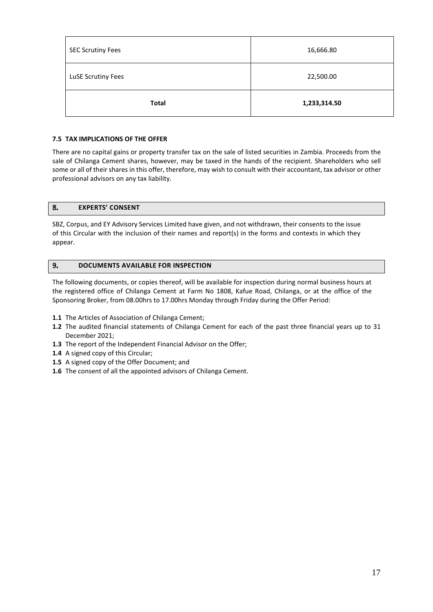| <b>SEC Scrutiny Fees</b> | 16,666.80    |
|--------------------------|--------------|
| LuSE Scrutiny Fees       | 22,500.00    |
| <b>Total</b>             | 1,233,314.50 |

#### **7.5 TAX IMPLICATIONS OF THE OFFER**

There are no capital gains or property transfer tax on the sale of listed securities in Zambia. Proceeds from the sale of Chilanga Cement shares, however, may be taxed in the hands of the recipient. Shareholders who sell some or all of their shares in this offer, therefore, may wish to consult with their accountant, tax advisor or other professional advisors on any tax liability.

#### <span id="page-17-0"></span>8. **EXPERTS' CONSENT**

SBZ, Corpus, and EY Advisory Services Limited have given, and not withdrawn, their consents to the issue of this Circular with the inclusion of their names and report(s) in the forms and contexts in which they appear.

#### <span id="page-17-1"></span>**DOCUMENTS AVAILABLE FOR INSPECTION** 9.

The following documents, or copies thereof, will be available for inspection during normal business hours at the registered office of Chilanga Cement at Farm No 1808, Kafue Road, Chilanga, or at the office of the Sponsoring Broker, from 08.00hrs to 17.00hrs Monday through Friday during the Offer Period:

- **1.1** The Articles of Association of Chilanga Cement;
- **1.2** The audited financial statements of Chilanga Cement for each of the past three financial years up to 31 December 2021;
- **1.3** The report of the Independent Financial Advisor on the Offer;
- **1.4** A signed copy of this Circular;
- **1.5** A signed copy of the Offer Document; and
- **1.6** The consent of all the appointed advisors of Chilanga Cement.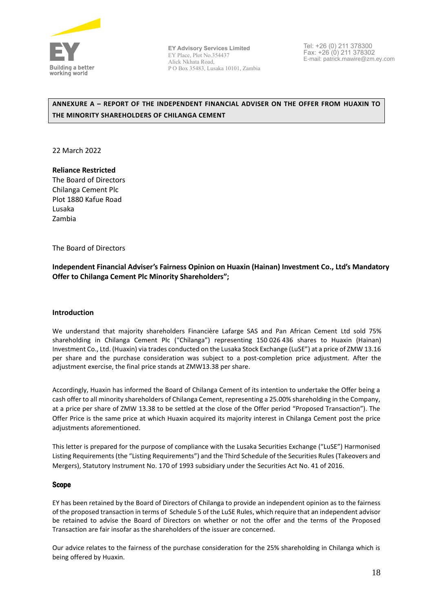

Tel: +26 (0) 211 378300 Fax: +26 (0) 211 378302 E-mail: patrick.mawire@zm.ey.com

### <span id="page-18-0"></span>**ANNEXURE A – REPORT OF THE INDEPENDENT FINANCIAL ADVISER ON THE OFFER FROM HUAXIN TO THE MINORITY SHAREHOLDERS OF CHILANGA CEMENT**

22 March 2022

# **Reliance Restricted**

The Board of Directors Chilanga Cement Plc Plot 1880 Kafue Road Lusaka Zambia

### The Board of Directors

**Independent Financial Adviser's Fairness Opinion on Huaxin (Hainan) Investment Co., Ltd's Mandatory Offer to Chilanga Cement Plc Minority Shareholders";** 

### **Introduction**

We understand that majority shareholders Financière Lafarge SAS and Pan African Cement Ltd sold 75% shareholding in Chilanga Cement Plc ("Chilanga") representing 150 026 436 shares to Huaxin (Hainan) Investment Co., Ltd. (Huaxin) via trades conducted on the Lusaka Stock Exchange (LuSE") at a price of ZMW 13.16 per share and the purchase consideration was subject to a post-completion price adjustment. After the adjustment exercise, the final price stands at ZMW13.38 per share.

Accordingly, Huaxin has informed the Board of Chilanga Cement of its intention to undertake the Offer being a cash offer to all minority shareholders of Chilanga Cement, representing a 25.00% shareholding in the Company, at a price per share of ZMW 13.38 to be settled at the close of the Offer period "Proposed Transaction"). The Offer Price is the same price at which Huaxin acquired its majority interest in Chilanga Cement post the price adiustments aforementioned.

This letter is prepared for the purpose of compliance with the Lusaka Securities Exchange ("LuSE") Harmonised Listing Requirements (the "Listing Requirements") and the Third Schedule of the Securities Rules (Takeovers and Mergers), Statutory Instrument No. 170 of 1993 subsidiary under the Securities Act No. 41 of 2016.

### Scope

EY has been retained by the Board of Directors of Chilanga to provide an independent opinion as to the fairness of the proposed transaction in terms of Schedule 5 of the LuSE Rules, which require that an independent advisor be retained to advise the Board of Directors on whether or not the offer and the terms of the Proposed Transaction are fair insofar as the shareholders of the issuer are concerned.

Our advice relates to the fairness of the purchase consideration for the 25% shareholding in Chilanga which is being offered by Huaxin.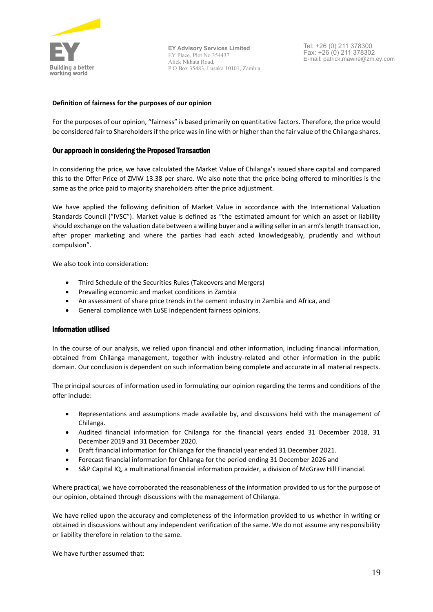

Tel: +26 (0) 211 378300 Fax: +26 (0) 211 378302 E-mail: patrick.mawire@zm.ey.com

#### **Definition of fairness for the purposes of our opinion**

For the purposes of our opinion, "fairness" is based primarily on quantitative factors. Therefore, the price would be considered fair to Shareholders if the price was in line with or higher than the fair value of the Chilanga shares.

#### Our approach in considering the Proposed Transaction

In considering the price, we have calculated the Market Value of Chilanga's issued share capital and compared this to the Offer Price of ZMW 13.38 per share. We also note that the price being offered to minorities is the same as the price paid to majority shareholders after the price adjustment.

We have applied the following definition of Market Value in accordance with the International Valuation Standards Council ("IVSC"). Market value is defined as "the estimated amount for which an asset or liability should exchange on the valuation date between a willing buyer and a willing seller in an arm's length transaction, after proper marketing and where the parties had each acted knowledgeably, prudently and without compulsion".

We also took into consideration:

- Third Schedule of the Securities Rules (Takeovers and Mergers)
- Prevailing economic and market conditions in Zambia
- An assessment of share price trends in the cement industry in Zambia and Africa, and
- General compliance with LuSE independent fairness opinions.

#### Information utilised

In the course of our analysis, we relied upon financial and other information, including financial information, obtained from Chilanga management, together with industry-related and other information in the public domain. Our conclusion is dependent on such information being complete and accurate in all material respects.

The principal sources of information used in formulating our opinion regarding the terms and conditions of the offer include:

- Representations and assumptions made available by, and discussions held with the management of Chilanga.
- Audited financial information for Chilanga for the financial years ended 31 December 2018, 31 December 2019 and 31 December 2020.
- Draft financial information for Chilanga for the financial year ended 31 December 2021.
- Forecast financial information for Chilanga for the period ending 31 December 2026 and
- S&P Capital IQ, a multinational financial information provider, a division of McGraw Hill Financial.

Where practical, we have corroborated the reasonableness of the information provided to us for the purpose of our opinion, obtained through discussions with the management of Chilanga.

We have relied upon the accuracy and completeness of the information provided to us whether in writing or obtained in discussions without any independent verification of the same. We do not assume any responsibility or liability therefore in relation to the same.

We have further assumed that: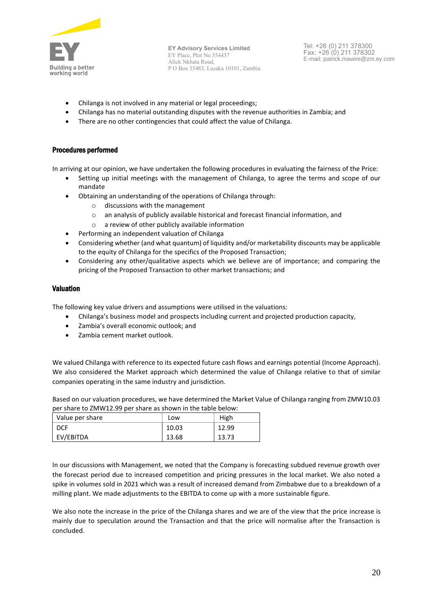

Tel: +26 (0) 211 378300 Fax: +26 (0) 211 378302 E-mail: patrick.mawire@zm.ey.com

- Chilanga is not involved in any material or legal proceedings;
- Chilanga has no material outstanding disputes with the revenue authorities in Zambia; and
- There are no other contingencies that could affect the value of Chilanga.

#### Procedures performed

In arriving at our opinion, we have undertaken the following procedures in evaluating the fairness of the Price:

- Setting up initial meetings with the management of Chilanga, to agree the terms and scope of our mandate
- Obtaining an understanding of the operations of Chilanga through:
	- o discussions with the management
	- o an analysis of publicly available historical and forecast financial information, and
	- o a review of other publicly available information
- Performing an independent valuation of Chilanga
- Considering whether (and what quantum) of liquidity and/or marketability discounts may be applicable to the equity of Chilanga for the specifics of the Proposed Transaction;
- Considering any other/qualitative aspects which we believe are of importance; and comparing the pricing of the Proposed Transaction to other market transactions; and

#### Valuation

The following key value drivers and assumptions were utilised in the valuations:

- Chilanga's business model and prospects including current and projected production capacity,
- Zambia's overall economic outlook; and
- Zambia cement market outlook.

We valued Chilanga with reference to its expected future cash flows and earnings potential (Income Approach). We also considered the Market approach which determined the value of Chilanga relative to that of similar companies operating in the same industry and jurisdiction.

Based on our valuation procedures, we have determined the Market Value of Chilanga ranging from ZMW10.03 per share to ZMW12.99 per share as shown in the table below:

| Value per share | Low   | High  |
|-----------------|-------|-------|
| <b>DCF</b>      | 10.03 | 12.99 |
| EV/EBITDA       | 13.68 | 13.73 |

In our discussions with Management, we noted that the Company is forecasting subdued revenue growth over the forecast period due to increased competition and pricing pressures in the local market. We also noted a spike in volumes sold in 2021 which was a result of increased demand from Zimbabwe due to a breakdown of a milling plant. We made adjustments to the EBITDA to come up with a more sustainable figure.

We also note the increase in the price of the Chilanga shares and we are of the view that the price increase is mainly due to speculation around the Transaction and that the price will normalise after the Transaction is concluded.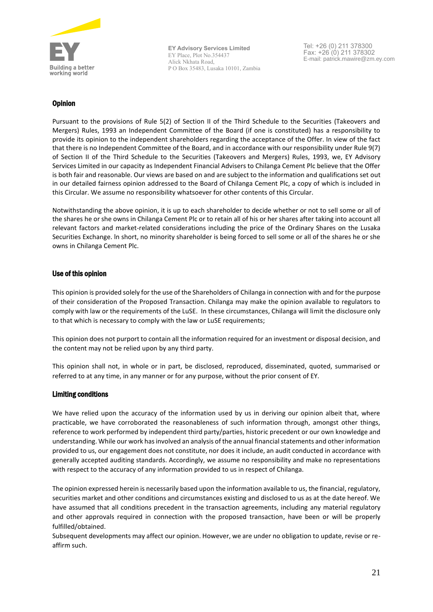

Tel: +26 (0) 211 378300 Fax: +26 (0) 211 378302 E-mail: patrick.mawire@zm.ey.com

### **Opinion**

Pursuant to the provisions of Rule 5(2) of Section II of the Third Schedule to the Securities (Takeovers and Mergers) Rules, 1993 an Independent Committee of the Board (if one is constituted) has a responsibility to provide its opinion to the independent shareholders regarding the acceptance of the Offer. In view of the fact that there is no Independent Committee of the Board, and in accordance with our responsibility under Rule 9(7) of Section II of the Third Schedule to the Securities (Takeovers and Mergers) Rules, 1993, we, EY Advisory Services Limited in our capacity as Independent Financial Advisers to Chilanga Cement Plc believe that the Offer is both fair and reasonable. Our views are based on and are subject to the information and qualifications set out in our detailed fairness opinion addressed to the Board of Chilanga Cement Plc, a copy of which is included in this Circular. We assume no responsibility whatsoever for other contents of this Circular.

Notwithstanding the above opinion, it is up to each shareholder to decide whether or not to sell some or all of the shares he or she owns in Chilanga Cement Plc or to retain all of his or her shares after taking into account all relevant factors and market-related considerations including the price of the Ordinary Shares on the Lusaka Securities Exchange. ln short, no minority shareholder is being forced to sell some or all of the shares he or she owns in Chilanga Cement Plc.

### Use of this opinion

This opinion is provided solely for the use of the Shareholders of Chilanga in connection with and for the purpose of their consideration of the Proposed Transaction. Chilanga may make the opinion available to regulators to comply with law or the requirements of the LuSE. In these circumstances, Chilanga will limit the disclosure only to that which is necessary to comply with the law or LuSE requirements;

This opinion does not purport to contain all the information required for an investment or disposal decision, and the content may not be relied upon by any third party.

This opinion shall not, in whole or in part, be disclosed, reproduced, disseminated, quoted, summarised or referred to at any time, in any manner or for any purpose, without the prior consent of EY.

### Limiting conditions

We have relied upon the accuracy of the information used by us in deriving our opinion albeit that, where practicable, we have corroborated the reasonableness of such information through, amongst other things, reference to work performed by independent third party/parties, historic precedent or our own knowledge and understanding. While our work has involved an analysis of the annual financial statements and other information provided to us, our engagement does not constitute, nor does it include, an audit conducted in accordance with generally accepted auditing standards. Accordingly, we assume no responsibility and make no representations with respect to the accuracy of any information provided to us in respect of Chilanga.

The opinion expressed herein is necessarily based upon the information available to us, the financial, regulatory, securities market and other conditions and circumstances existing and disclosed to us as at the date hereof. We have assumed that all conditions precedent in the transaction agreements, including any material regulatory and other approvals required in connection with the proposed transaction, have been or will be properly fulfilled/obtained.

Subsequent developments may affect our opinion. However, we are under no obligation to update, revise or reaffirm such.